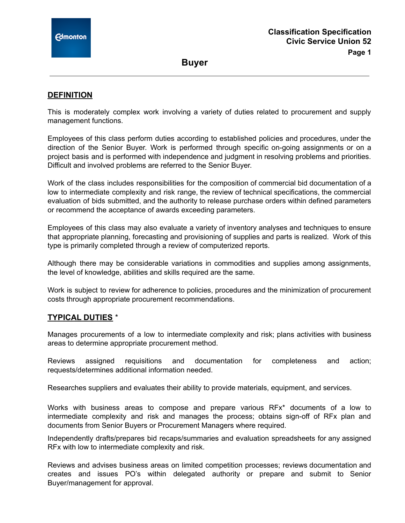**Buyer**

### **DEFINITION**

This is moderately complex work involving a variety of duties related to procurement and supply management functions.

Employees of this class perform duties according to established policies and procedures, under the direction of the Senior Buyer. Work is performed through specific on-going assignments or on a project basis and is performed with independence and judgment in resolving problems and priorities. Difficult and involved problems are referred to the Senior Buyer.

Work of the class includes responsibilities for the composition of commercial bid documentation of a low to intermediate complexity and risk range, the review of technical specifications, the commercial evaluation of bids submitted, and the authority to release purchase orders within defined parameters or recommend the acceptance of awards exceeding parameters.

Employees of this class may also evaluate a variety of inventory analyses and techniques to ensure that appropriate planning, forecasting and provisioning of supplies and parts is realized. Work of this type is primarily completed through a review of computerized reports.

Although there may be considerable variations in commodities and supplies among assignments, the level of knowledge, abilities and skills required are the same.

Work is subject to review for adherence to policies, procedures and the minimization of procurement costs through appropriate procurement recommendations.

### **TYPICAL DUTIES** \*

Manages procurements of a low to intermediate complexity and risk; plans activities with business areas to determine appropriate procurement method.

Reviews assigned requisitions and documentation for completeness and action; requests/determines additional information needed.

Researches suppliers and evaluates their ability to provide materials, equipment, and services.

Works with business areas to compose and prepare various RFx\* documents of a low to intermediate complexity and risk and manages the process; obtains sign-off of RFx plan and documents from Senior Buyers or Procurement Managers where required.

Independently drafts/prepares bid recaps/summaries and evaluation spreadsheets for any assigned RFx with low to intermediate complexity and risk.

Reviews and advises business areas on limited competition processes; reviews documentation and creates and issues PO's within delegated authority or prepare and submit to Senior Buyer/management for approval.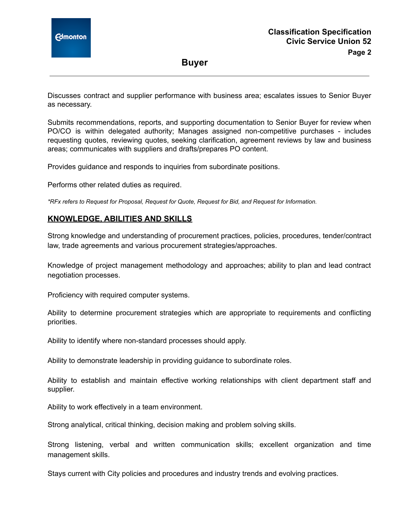

**Buyer**

Discusses contract and supplier performance with business area; escalates issues to Senior Buyer as necessary.

Submits recommendations, reports, and supporting documentation to Senior Buyer for review when PO/CO is within delegated authority; Manages assigned non-competitive purchases - includes requesting quotes, reviewing quotes, seeking clarification, agreement reviews by law and business areas; communicates with suppliers and drafts/prepares PO content.

Provides guidance and responds to inquiries from subordinate positions.

Performs other related duties as required.

*\*RFx refers to Request for Proposal, Request for Quote, Request for Bid, and Request for Information.*

## **KNOWLEDGE, ABILITIES AND SKILLS**

Strong knowledge and understanding of procurement practices, policies, procedures, tender/contract law, trade agreements and various procurement strategies/approaches.

Knowledge of project management methodology and approaches; ability to plan and lead contract negotiation processes.

Proficiency with required computer systems.

Ability to determine procurement strategies which are appropriate to requirements and conflicting priorities.

Ability to identify where non-standard processes should apply.

Ability to demonstrate leadership in providing guidance to subordinate roles.

Ability to establish and maintain effective working relationships with client department staff and supplier.

Ability to work effectively in a team environment.

Strong analytical, critical thinking, decision making and problem solving skills.

Strong listening, verbal and written communication skills; excellent organization and time management skills.

Stays current with City policies and procedures and industry trends and evolving practices.